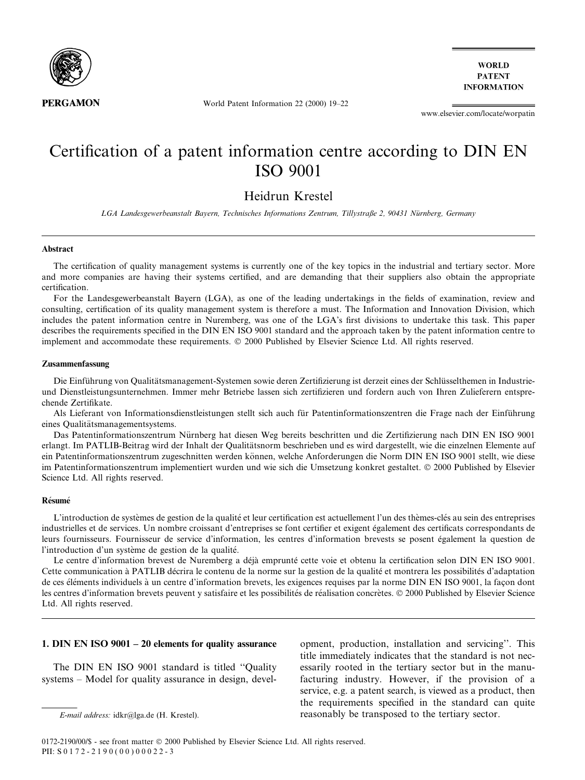

**WORLD PATENT INFORMATION** 

World Patent Information 22 (2000) 19-22

www.elsevier.com/locate/worpatin

# Certification of a patent information centre according to DIN EN **ISO 9001**

# Heidrun Krestel

LGA Landesgewerbeanstalt Bayern, Technisches Informations Zentrum, Tillystraße 2, 90431 Nürnberg, Germany

#### **Abstract**

The certification of quality management systems is currently one of the key topics in the industrial and tertiary sector. More and more companies are having their systems certified, and are demanding that their suppliers also obtain the appropriate certification.

For the Landesgewerbeanstalt Bayern (LGA), as one of the leading undertakings in the fields of examination, review and consulting, certification of its quality management system is therefore a must. The Information and Innovation Division, which includes the patent information centre in Nuremberg, was one of the LGA's first divisions to undertake this task. This paper describes the requirements specified in the DIN EN ISO 9001 standard and the approach taken by the patent information centre to implement and accommodate these requirements. © 2000 Published by Elsevier Science Ltd. All rights reserved.

### Zusammenfassung

Die Einführung von Qualitätsmanagement-Systemen sowie deren Zertifizierung ist derzeit eines der Schlüsselthemen in Industrieund Dienstleistungsunternehmen. Immer mehr Betriebe lassen sich zertifizieren und fordern auch von Ihren Zulieferern entsprechende Zertifikate.

Als Lieferant von Informationsdienstleistungen stellt sich auch für Patentinformationszentren die Frage nach der Einführung eines Qualitätsmanagementsystems.

Das Patentinformationszentrum Nürnberg hat diesen Weg bereits beschritten und die Zertifizierung nach DIN EN ISO 9001 erlangt. Im PATLIB-Beitrag wird der Inhalt der Qualitätsnorm beschrieben und es wird dargestellt, wie die einzelnen Elemente auf ein Patentinformationszentrum zugeschnitten werden können, welche Anforderungen die Norm DIN EN ISO 9001 stellt, wie diese im Patentinformationszentrum implementiert wurden und wie sich die Umsetzung konkret gestaltet. © 2000 Published by Elsevier Science Ltd. All rights reserved.

#### Résumé

L'introduction de systèmes de gestion de la qualité et leur certification est actuellement l'un des thèmes-clés au sein des entreprises industrielles et de services. Un nombre croissant d'entreprises se font certifier et exigent également des certificats correspondants de leurs fournisseurs. Fournisseur de service d'information, les centres d'information brevests se posent également la question de l'introduction d'un système de gestion de la qualité.

Le centre d'information brevest de Nuremberg a déjà emprunté cette voie et obtenu la certification selon DIN EN ISO 9001. Cette communication à PATLIB décrira le contenu de la norme sur la gestion de la qualité et montrera les possibilités d'adaptation de ces éléments individuels à un centre d'information brevets, les exigences requises par la norme DIN EN ISO 9001, la façon dont les centres d'information brevets peuvent y satisfaire et les possibilités de réalisation concrètes. © 2000 Published by Elsevier Science Ltd. All rights reserved.

# 1. DIN EN ISO  $9001 - 20$  elements for quality assurance

The DIN EN ISO 9001 standard is titled "Ouality" systems – Model for quality assurance in design, development, production, installation and servicing". This title immediately indicates that the standard is not necessarily rooted in the tertiary sector but in the manufacturing industry. However, if the provision of a service, e.g. a patent search, is viewed as a product, then the requirements specified in the standard can quite reasonably be transposed to the tertiary sector.

E-mail address: idkr@lga.de (H. Krestel).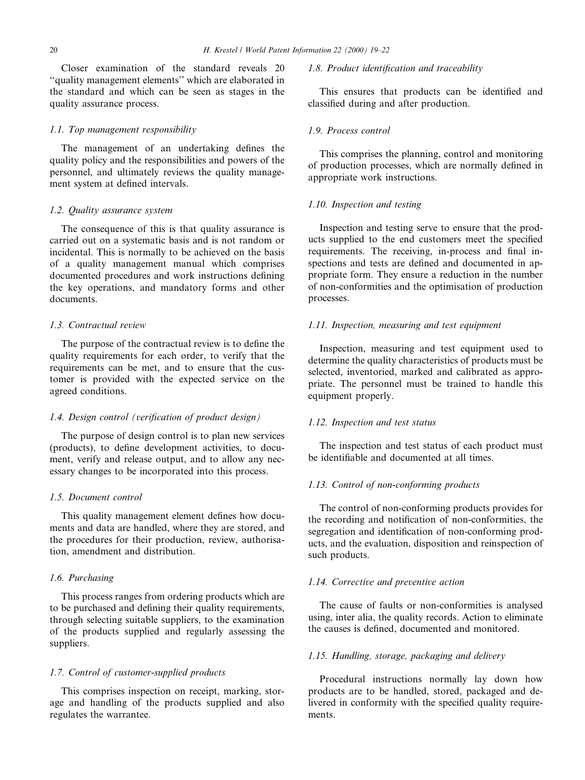Closer examination of the standard reveals 20 ``quality management elements'' which are elaborated in the standard and which can be seen as stages in the quality assurance process.

#### 1.1. Top management responsibility

The management of an undertaking defines the quality policy and the responsibilities and powers of the personnel, and ultimately reviews the quality management system at defined intervals.

### 1.2. Quality assurance system

The consequence of this is that quality assurance is carried out on a systematic basis and is not random or incidental. This is normally to be achieved on the basis of a quality management manual which comprises documented procedures and work instructions defining the key operations, and mandatory forms and other documents.

# 1.3. Contractual review

The purpose of the contractual review is to define the quality requirements for each order, to verify that the requirements can be met, and to ensure that the customer is provided with the expected service on the agreed conditions.

### 1.4. Design control (verification of product design)

The purpose of design control is to plan new services (products), to define development activities, to document, verify and release output, and to allow any necessary changes to be incorporated into this process.

# 1.5. Document control

This quality management element defines how documents and data are handled, where they are stored, and the procedures for their production, review, authorisation, amendment and distribution.

# 1.6. Purchasing

This process ranges from ordering products which are to be purchased and defining their quality requirements, through selecting suitable suppliers, to the examination of the products supplied and regularly assessing the suppliers.

# 1.7. Control of customer-supplied products

This comprises inspection on receipt, marking, storage and handling of the products supplied and also regulates the warrantee.

# 1.8. Product identification and traceability

This ensures that products can be identified and classified during and after production.

#### 1.9. Process control

This comprises the planning, control and monitoring of production processes, which are normally defined in appropriate work instructions.

### 1.10. Inspection and testing

Inspection and testing serve to ensure that the products supplied to the end customers meet the specified requirements. The receiving, in-process and final inspections and tests are defined and documented in appropriate form. They ensure a reduction in the number of non-conformities and the optimisation of production processes.

# 1.11. Inspection, measuring and test equipment

Inspection, measuring and test equipment used to determine the quality characteristics of products must be selected, inventoried, marked and calibrated as appropriate. The personnel must be trained to handle this equipment properly.

## 1.12. Inspection and test status

The inspection and test status of each product must be identifiable and documented at all times.

#### 1.13. Control of non-conforming products

The control of non-conforming products provides for the recording and notification of non-conformities, the segregation and identification of non-conforming products, and the evaluation, disposition and reinspection of such products.

### 1.14. Corrective and preventive action

The cause of faults or non-conformities is analysed using, inter alia, the quality records. Action to eliminate the causes is defined, documented and monitored.

# 1.15. Handling, storage, packaging and delivery

Procedural instructions normally lay down how products are to be handled, stored, packaged and delivered in conformity with the specified quality requirements.